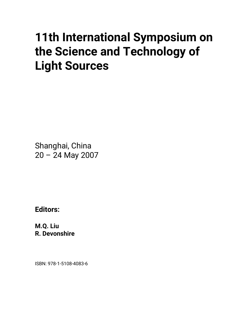# **11th International Symposium on the Science and Technology of Light Sources**

Shanghai, China 20 – 24 May 2007

**Editors:** 

**M.Q. Liu R. Devonshire** 

ISBN: 978-1-5108-4083-6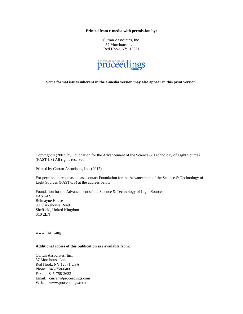**Printed from e-media with permission by:** 

Curran Associates, Inc. 57 Morehouse Lane Red Hook, NY 12571



**Some format issues inherent in the e-media version may also appear in this print version.** 

Copyright© (2007) by Foundation for the Advancement of the Science & Technology of Light Sources (FAST-LS) All rights reserved.

Printed by Curran Associates, Inc. (2017)

For permission requests, please contact Foundation for the Advancement of the Science & Technology of Light Sources (FAST-LS) at the address below.

Foundation for the Advancement of the Science & Technology of Light Sources FAST-LS Belmayne House 99 Clarkehouse Road Sheffield, United Kingdom S10 2LN

www.fast-ls.org

#### **Additional copies of this publication are available from:**

Curran Associates, Inc. 57 Morehouse Lane Red Hook, NY 12571 USA Phone: 845-758-0400 Fax: 845-758-2633 Email: curran@proceedings.com Web: www.proceedings.com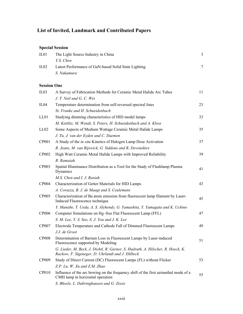# **List of Invited, Landmark and Contributed Papers**

# **Special Session**

| IL01  | The Light Source Industry in China                   |  |
|-------|------------------------------------------------------|--|
|       | Y.S. Chen                                            |  |
| II.02 | Latest Performance of GaN-based Solid State Lighting |  |
|       | S. Nakamura                                          |  |
|       |                                                      |  |

#### **Session One**

| IL03         | A Survey of Fabrication Methods for Ceramic Metal Halide Arc Tubes                                                                  | 11 |
|--------------|-------------------------------------------------------------------------------------------------------------------------------------|----|
|              | J. T. Neil and G. C. Wei                                                                                                            |    |
| IL04         | Temperature determination from self-reversed spectral lines                                                                         | 23 |
|              | St. Franke and H. Schneidenbach                                                                                                     |    |
| LL01         | Studying dimming characteristics of HID model lamps                                                                                 | 33 |
|              | M. Kettlitz, M. Wendt, S. Peters, H. Schneidenbach and A. Kloss                                                                     |    |
| LL02         | Some Aspects of Medium Wattage Ceramic Metal Halide Lamps                                                                           | 35 |
|              | J. Tu, J. van der Eyden and C. Daemen                                                                                               |    |
| <b>CP001</b> | A Study of the <i>in situ</i> Kinetics of Halogen Lamp Dose Activation                                                              | 37 |
|              | R. Jeans, M. van Rijswick, G. Siddons and R. Devonshire                                                                             |    |
| CP002        | High Watt Ceramic Metal Halide Lamps with Improved Reliability                                                                      | 39 |
|              | R. Ramaiah                                                                                                                          |    |
| <b>CP003</b> | Spatial Illuminance Distribution as a Tool for the Study of Flashlamp Plasma<br>Dynamics                                            | 41 |
|              | M.S. Chen and I. J. Rasiah                                                                                                          |    |
| <b>CP004</b> | Characterization of Getter Materials for HID Lamps                                                                                  | 43 |
|              | A. Corazza, B. J. de Maagt and S. Ceulemans                                                                                         |    |
| <b>CP005</b> | Characterization of Ba atom emission from fluorescent lamp filament by Laser-<br>Induced Fluorescence technique                     | 45 |
|              | Y. Manabe, T. Ueda, A. S. Alyhendy, G. Yamashita, Y. Yamagata and K. Uchino                                                         |    |
| <b>CP006</b> | Computer Simulations on Hg-free Flat Fluorescent Lamp (FFL)                                                                         | 47 |
|              | S. M. Lee, Y. S. Seo, S. J. You and J. K. Lee                                                                                       |    |
| <b>CP007</b> | Electrode Temperature and Cathode Fall of Dimmed Fluorescent Lamps                                                                  | 49 |
|              | J.J. de Groot                                                                                                                       |    |
| <b>CP008</b> | Determination of Barium Loss in Fluorescent Lamps by Laser-induced<br>Fluorescence supported by Modeling                            | 51 |
|              | G. Lieder, M. Beck, J. Dichtl, R. Garner, S. Hadrath, A. Hilscher, R. Hoeck, K.<br>Rackow, F. Sigeneger, D. Uhrlandt and J. Ehlbeck |    |
| CP009        | Study of Direct Current (DC) Fluorescent Lamps (FL) without Flicker                                                                 | 53 |
|              | Z.P. Lu, W. Xu and Z.M. Zhao                                                                                                        |    |
| <b>CP010</b> | Influence of the arc bowing on the frequency shift of the first azimuthal mode of a<br>CMH lamp in horizontal operation             | 55 |
|              | S. Bhosle, L. Dabringhausen and G. Zissis                                                                                           |    |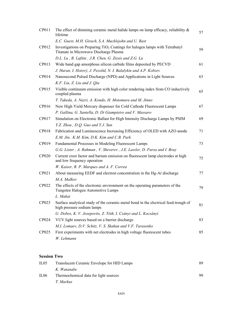| CP011        | The effect of dimming ceramic metal halide lamps on lamp efficacy, reliability $\&$<br>lifetime                                   | 57 |
|--------------|-----------------------------------------------------------------------------------------------------------------------------------|----|
|              | E.C. Guest, M.H. Girach, S.A. Mucklejohn and U. Rast                                                                              |    |
| CP012        | Investigations on Preparing TiO <sub>2</sub> Coatings for halogen lamps with Tetrabutyl<br>Titanate in Microwave Discharge Plasma | 59 |
|              | D.L. Lu, B. Lafitte, J.R. Chen, G. Zissis and Z.G. Lu                                                                             |    |
| CP013        | Wide band gap amorphous silicon carbide films deposited by PECVD                                                                  | 61 |
|              | J. Huran, I. Hotový, J. Pezoltd, N. I. Balalykin and A.P. Kobzev                                                                  |    |
| CP014        | Nanosecond Pulsed Discharge (NPD) and Applications in Light Sources                                                               | 63 |
|              | K.F. Liu, Z. Liu and J. Qiu                                                                                                       |    |
| CP015        | Visible continuum emission with high color rendering index from CO inductively<br>coupled plasma                                  | 65 |
|              | T. Takeda, A. Nazri, A. Kondo, H. Motomura and M. Jinno                                                                           |    |
| CP016        | New High Yield Mercury dispenser for Cold Cathode Fluorescent Lamps                                                               | 67 |
|              | P. Gallina, G. Santella, D. Di Giampietro and V. Massaro                                                                          |    |
| CP017        | Simulation on Electronic Ballast for High Intensity Discharge Lamps by PSIM                                                       | 69 |
|              | Y.Z. Zhou, D.Q. Guo and Y.J. Sun                                                                                                  |    |
| <b>CP018</b> | Fabrication and Luminescence Increasing Efficiency of OLED with AZO anode                                                         | 71 |
|              | E.M. Jin, K.M. Kim, D.K. Kim and C.B. Park                                                                                        |    |
| CP019        | Fundamental Processes in Modeling Fluorescent Lamps                                                                               | 73 |
|              | G.G. Lister, A. Rahman, V. Sheverev, J.E. Lawler, D. Fursa and I. Bray                                                            |    |
| <b>CP020</b> | Current crest factor and barium emission on fluorescent lamp electrodes at high<br>and low frequency operation                    | 75 |
|              | W. Kaiser, R. P. Marques and A. F. Correa                                                                                         |    |
| CP021        | About measuring EEDF and electron concentration in the Hg-Ar discharge                                                            | 77 |
|              | M.A. Malkov                                                                                                                       |    |
| CP022        | The effects of the electronic environment on the operating parameters of the<br>Tungsten Halogen Automotive Lamps                 | 79 |
|              | L. Makai                                                                                                                          |    |
| CP023        | Surface analytical study of the ceramic-metal bond in the electrical feed-trough of<br>high pressure sodium lamps                 | 81 |
|              | G. Dobos, K. V. Josepovits, Z. Tóth, I. Csányi and L. Kocsányi                                                                    |    |
| CP024        | VUV light sources based on a barrier discharge                                                                                    | 83 |
|              | M.I. Lomaev, D.V. Schitz, V. S. Skakun and V.F. Tarasenko                                                                         |    |
| CP025        | First experiments with net electrodes in high voltage fluorescent tubes                                                           | 85 |
|              | W. Lehmann                                                                                                                        |    |

## **Session Two**

| IL05 | Translucent Ceramic Envelope for HID Lamps | 89 |
|------|--------------------------------------------|----|
|      | K. Watanabe                                |    |
| IL06 | Thermochemical data for light sources      | 99 |
|      | T. Markus                                  |    |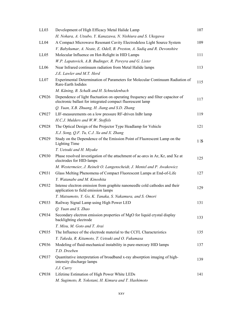| LL <sub>03</sub> | Development of High Efficacy Metal Halide Lamp                                                                                               | 107 |
|------------------|----------------------------------------------------------------------------------------------------------------------------------------------|-----|
|                  | H. Nohara, A. Utsubo, Y. Kanazawa, N. Nishiura and S. Ukegawa                                                                                |     |
| LL04             | A Compact Microwave Resonant Cavity Electrodeless Light Source System                                                                        | 109 |
|                  | V. Babykumar, A. Neate, E. Odell, B. Preston, A. Sadiq and R. Devonshire                                                                     |     |
| LL <sub>05</sub> | Molecular Influence on Hot-Relight in HID Lamps                                                                                              | 111 |
|                  | W.P. Lapatovich, A.B. Budinger, R. Pereyra and G. Lister                                                                                     |     |
| LL <sub>06</sub> | Near Infrared continuum radiation from Metal Halide lamps                                                                                    | 113 |
|                  | J.E. Lawler and M.T. Herd                                                                                                                    |     |
| LL07             | Experimental Determination of Parameters for Molecular Continuum Radiation of<br>Rare-Earth Iodides                                          | 115 |
|                  | M. Käning, B. Schalk and H. Schneidenbach                                                                                                    |     |
| CP026            | Dependence of light fluctuation on operating frequency and filter capacitor of<br>electronic ballast for integrated compact fluorescent lamp | 117 |
|                  | Q. Yuan, X.B. Zhuang, H. Jiang and S.D. Zhang                                                                                                |     |
| CP027            | LIF-measurements on a low pressure RF-driven InBr lamp                                                                                       | 119 |
|                  | H.C.J. Mulders and W.W. Stoffels                                                                                                             |     |
| <b>CP028</b>     | The Optical Design of the Projector Type Headlamp for Vehicle                                                                                | 121 |
|                  | X.J. Song, Q.F. Tu, C.J. Xu and X. Zhang                                                                                                     |     |
| CP029            | Study on the Dependence of the Emission Point of Fluorescent Lamp on the<br><b>Lighting Time</b>                                             | PIC |
|                  | T. Uetsuki and H. Miyake                                                                                                                     |     |
| <b>CP030</b>     | Phase resolved investigation of the attachment of ac-arcs in Ar, Kr, and Xe at<br>electrodes for HID-lamps                                   | 125 |
|                  | M. Westermeier, J. Reinelt O. Langenscheidt, J. Mentel and P. Awakowicz                                                                      |     |
| CP031            | Glass Melting Phenomena of Compact Fluorescent Lamps at End-of-Life                                                                          | 127 |
|                  | Y. Watanabe and M. Kinoshita                                                                                                                 |     |
| CP032            | Intense electron emission from graphite nanoneedle cold cathodes and their<br>application to field emission lamps                            | 129 |
|                  | T. Matsumoto, Y. Go, K. Tanaka, S. Nakamura, and S. Omori                                                                                    |     |
| CP033            | Railway Signal Lamp using High Power LED                                                                                                     | 131 |
|                  | O. Yuan and S. Zhao                                                                                                                          |     |
| CP034            | Secondary electron emission properties of MgO for liquid crystal display<br>backlighting electrode                                           | 133 |
|                  | T. Misu, M. Goto and T. Arai                                                                                                                 |     |
| CP035            | The Influence of the electrode material to the CCFL Characteristics                                                                          | 135 |
|                  | Y. Takeda, R. Kitamoto, T. Uetsuki and O. Fukumasa                                                                                           |     |
| CP036            | Modeling of fluid-mechanical instability in pure-mercury HID lamps                                                                           | 137 |
|                  | T.D. Dreeben                                                                                                                                 |     |
| CP037            | Quantitative interpretation of broadband x-ray absorption imaging of high-<br>intensity discharge lamps                                      | 139 |
|                  | J.J. Curry                                                                                                                                   |     |
| <b>CP038</b>     | Lifetime Estimation of High Power White LEDs                                                                                                 | 141 |
|                  | M. Sugimoto, R. Yokotani, H. Kimura and T. Hashimoto                                                                                         |     |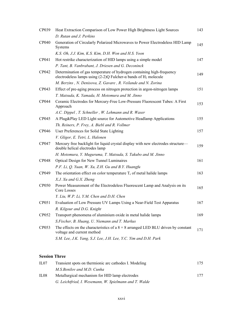| CP039        | Heat Extraction Comparison of Low Power High Brightness Light Sources                                                                                           | 143 |
|--------------|-----------------------------------------------------------------------------------------------------------------------------------------------------------------|-----|
|              | D. Rutan and J. Perkins                                                                                                                                         |     |
| <b>CP040</b> | Generation of Circularly Polarized Microwaves to Power Electrodeless HID Lamp<br>Systems                                                                        | 145 |
|              | K.S. Oh, J.J. Kim, K.S. Kim, D.H. Won and H.S. Yoon                                                                                                             |     |
| CP041        | Hot restrike characterization of HID lamps using a simple model                                                                                                 | 147 |
|              | P. Tant, B. Vanbrabant, J. Driesen and G. Deconinck                                                                                                             |     |
| CP042        | Determination of gas temperature of hydrogen containing high-frequency<br>electrodeless lamps using $(2-2)Q$ Fulcher- $\alpha$ bands of H <sub>2</sub> molecule | 149 |
|              | M. Berzins, N. Denisova, Z. Gavare, R. Veilande and N. Zorina                                                                                                   |     |
| CP043        | Effect of pre-aging process on nitrogen protection in argon-nitrogen lamps                                                                                      | 151 |
|              | T. Matsuda, K. Yamada, H. Motomura and M. Jinno                                                                                                                 |     |
| CP044        | Ceramic Electrodes for Mercury-Free Low-Pressure Fluorescent Tubes: A First<br>Approach                                                                         | 153 |
|              | A.C. Dippel, T. Schneller, W. Lehmann and R. Waser                                                                                                              |     |
| CP045        | A Plug&Play LED Light source for Automotive Headlamp Applications                                                                                               | 155 |
|              | Th. Reiners, P. Frey, A. Biebl and R. Vollmer                                                                                                                   |     |
| CP046        | User Preferences for Solid State Lighting                                                                                                                       | 157 |
|              | V. Gligor, E. Tetri, L. Halonen                                                                                                                                 |     |
| CP047        | Mercury free backlight for liquid crystal display with new electrodes structure-<br>double helical electrodes lamp                                              | 159 |
|              | H. Motomura, Y. Muguruma, T. Matsuda, S. Takubo and M. Jinno                                                                                                    |     |
| <b>CP048</b> | Optical Design for New Tunnel Luminaires                                                                                                                        | 161 |
|              | P.F. Li, Q. Yuan, W. Xu, Z.H. Gu and B.Y. Huangfu                                                                                                               |     |
| CP049        | The orientation effect on color temperature $T_c$ of metal halide lamps                                                                                         | 163 |
|              | X.J. Xu and G.X. Zheng                                                                                                                                          |     |
| <b>CP050</b> | Power Measurement of the Electrodeless Fluorescent Lamp and Analysis on its<br>Core Losses                                                                      | 165 |
|              | Y. Liu, W.P. Li, Y.M. Chen and D.H. Chen                                                                                                                        |     |
| CP051        | Evaluation of Low Pressure UV Lamps Using a Near-Field Test Apparatus                                                                                           | 167 |
|              | R. Kilgour and D.G. Knight                                                                                                                                      |     |
| CP052        | Transport phenomena of aluminium oxide in metal halide lamps                                                                                                    | 169 |
|              | S.Fischer, B. Huang, U. Niemann and T. Markus                                                                                                                   |     |
| CP053        | The effects on the characteristics of a $8 \times 8$ arranged LED BLU driven by constant<br>voltage and current method                                          | 171 |
|              | S.M. Lee, J.K. Yang, S.J. Lee, J.H. Lee, Y.C. Yim and D.H. Park                                                                                                 |     |

## **Session Three**

| II.07            | Transient spots on thermionic arc cathodes I. Modeling | 175 |
|------------------|--------------------------------------------------------|-----|
|                  | M.S.Benilov and M.D. Cunha                             |     |
| IL <sub>08</sub> | Metallurgical mechanism for HID lamp electrodes        | 177 |
|                  | G. Leichtfried, I. Wesemann, W. Spielmann and T. Walde |     |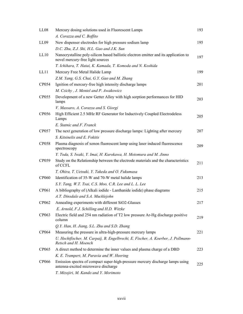| LL08         | Mercury dosing solutions used in Fluorescent Lamps                                                                       | 193 |
|--------------|--------------------------------------------------------------------------------------------------------------------------|-----|
|              | A. Corazza and C. Boffito                                                                                                |     |
| LL09         | New dispenser electrodes for high pressure sodium lamp                                                                   | 195 |
|              | D.C. Zhu, Z.J. Shi, H.L. Gao and J.K. Sun                                                                                |     |
| LL10         | Nanocrystalline poly-silicon based ballistic electron emitter and its application to<br>novel mercury-free light sources | 197 |
|              | T. Ichihara, T. Hatai, K. Kamada, T. Komoda and N. Koshida                                                               |     |
| LL11         | Mercury Free Metal Halide Lamp                                                                                           | 199 |
|              | Z.M. Yang, G.S. Chai, G.Y. Gao and M. Zhang                                                                              |     |
| CP054        | Ignition of mercury-free high intensity discharge lamps                                                                  | 201 |
|              | M. Czichy, J. Mentel and P. Awakowicz                                                                                    |     |
| <b>CP055</b> | Development of a new Getter Alloy with high sorption performances for HID<br>lamps                                       | 203 |
|              | V. Massaro, A. Corazza and S. Giorgi                                                                                     |     |
| CP056        | High Efficient 2.5 MHz RF Generator for Inductively Coupled Electrodeless<br>Lamps                                       | 205 |
|              | E. Statnic and F. Franck                                                                                                 |     |
| CP057        | The next generation of low pressure discharge lamps: Lighting after mercury                                              | 207 |
|              | S. Kitsinelis and E. Fokitis                                                                                             |     |
| <b>CP058</b> | Plasma diagnosis of xenon fluorescent lamp using laser induced fluorescence<br>spectroscopy                              | 209 |
|              | Y. Toda, S. Iwaki, Y. Imai, H. Kurokawa, H. Motomura and M. Jinno                                                        |     |
| CP059        | Study on the Relationship between the electrode materials and the characteristics<br>of CCFL                             | 211 |
|              | T. Ohira, T. Uetsuki, Y. Takeda and O. Fukumasa                                                                          |     |
| <b>CP060</b> | Identification of 35-W and 70-W metal halide lamps                                                                       | 213 |
|              | S.Y. Tang, W.T. Tsai, C.S. Moo, C.R. Lee and L. L. Lee                                                                   |     |
| CP061        | A bibliography of (Alkali iodide - Lanthanide iodide) phase diagrams                                                     | 215 |
|              | A.T. Dinsdale and S.A. Mucklejohn                                                                                        |     |
| CP062        | Annealing experiments with different SiO2-Glasses                                                                        | 217 |
|              | E. Arnold, F.J. Schilling and H.D. Witzke                                                                                |     |
| CP063        | Electric field and 254 nm radiation of T2 low pressure Ar-Hg discharge positive<br>column                                | 219 |
|              | Q.Y. Han, H. Jiang, S.L. Zhu and S.D. Zhang                                                                              |     |
| CP064        | Measuring the pressure in ultra-high-pressure mercury lamps                                                              | 221 |
|              | U. Hechtfischer, M. Carpaij, B. Engelbrecht, E. Fischer, A. Koerber, J. Pollmann-<br>Retsch and H. Moench                |     |
| CP065        | A direct method to determine the inner values and plasma charge of a DBD                                                 | 223 |
|              | K. E. Trampert, M. Paravia and W. Heering                                                                                |     |
| <b>CP066</b> | Emission spectra of compact super-high-pressure mercury discharge lamps using<br>antenna-excited microwave discharge     | 225 |
|              | T. Mizojiri, M. Kando and Y. Morimoto                                                                                    |     |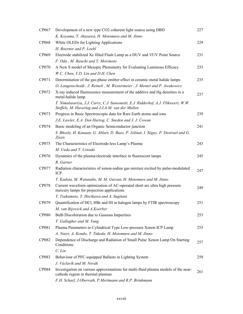| CP067        | Development of a new type CO2 coherent light source using DBD                                                                           | 227 |
|--------------|-----------------------------------------------------------------------------------------------------------------------------------------|-----|
|              | K. Koyama, T. Akazawa, H. Motomura and M. Jinno                                                                                         |     |
| CP068        | White OLEDs for Lighting Applications                                                                                                   | 229 |
|              | H. Boerner and P. Loebl                                                                                                                 |     |
| CP069        | Electrode stabilized Xe filled Flash Lamp as a DUV and VUV Point Source                                                                 | 231 |
|              | F. Oda, M. Ikeuchi and Y. Morimoto                                                                                                      |     |
| <b>CP070</b> | A New S model of Mesopic Photometry for Evaluating Luminous Efficacy                                                                    | 233 |
|              | W.C. Chen, Y.D. Lin and D.H. Chen                                                                                                       |     |
| CP071        | Determination of the gas-phase emitter effect in ceramic metal halide lamps                                                             | 235 |
|              | O. Langenscheidt, J. Reinelt, M. Westermeier, J. Mentel and P. Awakowicz                                                                |     |
| CP072        | X-ray induced fluorescence measurement of the additive and Hg densities in a<br>metal-halide lamp                                       | 237 |
|              | T. Nimalasuriya, J.J. Curry, C.J. Sansonetti, E.J. Ridderhof, A.J. Flikweert, W.W.<br>Stoffels, M. Haverlag and J.J.A.M. van der Mullen |     |
| CP073        | Progress in Basic Spectroscopic data for Rare Earth atoms and ions                                                                      | 239 |
|              | J.E. Lawler, E.A. Den Hartog, C. Sneden and J. J. Cowan                                                                                 |     |
| CP074        | Basic modeling of an Organic Semiconductor junction                                                                                     | 241 |
|              | S. Bhosle, H. Kanaan, G. Ablart, D. Buso, P. Jolinat, I. Séguy, P. Destruel and G.<br>Zissis                                            |     |
| CP075        | The Characteristics of Electrode-less Lamp's Plasma                                                                                     | 243 |
|              | M. Ueda and T. Uetsuki                                                                                                                  |     |
| CP076        | Dynamics of the plasma/electrode interface in fluorescent lamps                                                                         | 245 |
|              | R. Garner                                                                                                                               |     |
| CP077        | Radiation characteristics of xenon-iodine gas mixture excited by pulse-modulated<br><b>ICP</b>                                          | 247 |
|              | T. Kadota, M. Watanabe, M. M. Guivan, H. Motomura and M. Jinno                                                                          |     |
| <b>CP078</b> | Current waveform optimization of AC-operated short arc ultra high pressure<br>mercury lamps for projection applications                 | 249 |
|              | T. Tsukamoto, Y. Horikawa and A. Sugitani                                                                                               |     |
| CP079        | Quantification of HCl, HBr and HI in halogen lamps by FTIR spectroscopy                                                                 | 251 |
|              | M. van Rijswick and A.Koerber                                                                                                           |     |
| <b>CP080</b> | Bulb Discoloration due to Gaseous Impurities                                                                                            | 253 |
|              | T. Gallagher and M. Yang                                                                                                                |     |
| CP081        | Plasma Parameters in Cylindrical Type Low-pressure Xenon ICP Lamp                                                                       | 255 |
|              | A. Nazri, A. Kondo, T. Takeda, H. Motomura and M. Jinno                                                                                 |     |
| <b>CP082</b> | Dependence of Discharge and Radiation of Small Pulse Xenon Lamp On Starting<br>Conditions                                               | 257 |
|              | $C.$ Lin                                                                                                                                |     |
| <b>CP083</b> | Behaviour of PFC-equipped Ballasts in Lighting System                                                                                   | 259 |
|              | J. Václavík and M. Novák                                                                                                                |     |
| <b>CP084</b> | Investigation on various approximations for multi-fluid plasma models of the near-<br>cathode region in thermal plasmas                 | 261 |
|              | F.H. Scharf, J.Oberrath, P.Mertmann and R.P. Brinkmann                                                                                  |     |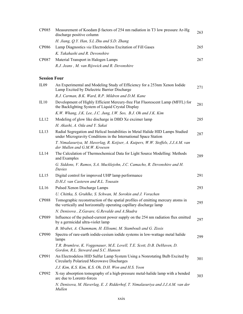| <b>CP085</b>        | Measurement of Koedam $\beta$ factors of 254 nm radiation in T3 low pressure Ar-Hg<br>discharge positive column                                       | 263 |
|---------------------|-------------------------------------------------------------------------------------------------------------------------------------------------------|-----|
|                     | H. Jiang, Q.Y. Han, S.L Zhu and S.D. Zhang                                                                                                            |     |
| <b>CP086</b>        | Lamp Diagnostics via Electrodeless Excitation of Fill Gases                                                                                           | 265 |
|                     | K. Takahashi and R. Devonshire                                                                                                                        |     |
| CP087               | Material Transport in Halogen Lamps                                                                                                                   | 267 |
|                     | R.J. Jeans, M. van Rijswick and R. Devonshire                                                                                                         |     |
| <b>Session Four</b> |                                                                                                                                                       |     |
| IL <sub>09</sub>    | An Experimental and Modeling Study of Efficiency for a 253nm Xenon Iodide<br>Lamp Excited by Dielectric Barrier Discharge                             | 271 |
|                     | R.J. Carman, B.K. Ward, R.P. Mildren and D.M. Kane                                                                                                    |     |
| IL10                | Development of Highly Efficient Mercury-free Flat Fluorescent Lamp (MFFL) for<br>the Backlighting System of Liquid Crystal Display                    | 281 |
|                     | K.W. Whang, J.K. Lee, J.C. Jung, I.W. Seo, B.J. Oh and J.K. Kim                                                                                       |     |
| LL12                | Modeling of glow like discharge in DBD Xe excimer lamp                                                                                                | 285 |
|                     | H. Akashi, A. Oda and Y. Sakai                                                                                                                        |     |
| LL13                | Radial Segregation and Helical Instabilities in Metal Halide HID Lamps Studied<br>under Microgravity Conditions in the International Space Station    | 287 |
|                     | T. Nimalasuriya, M. Haverlag, R. Keijser, A. Kuipers, W.W. Stoffels, J.J.A.M. van<br>der Mullen and G.M.W. Kroesen                                    |     |
| LL14                | The Calculation of Thermochemical Data for Light Source Modelling: Methods<br>and Examples                                                            | 289 |
|                     | G. Siddons, V. Ramos, S.A. Mucklejohn, J.C. Camacho, R. Devonshire and H.<br>Davies                                                                   |     |
| LL15                | Digital control for improved UHP lamp performance                                                                                                     | 291 |
|                     | D.H.J. van Casteren and R.L. Tousain                                                                                                                  |     |
| LL16                | Pulsed Xenon Discharge Lamps                                                                                                                          | 293 |
|                     | U. Chittka, S. Gruhlke, S. Schwan, M. Sorokin and J. Vorachen                                                                                         |     |
| <b>CP088</b>        | Tomographic reconstruction of the spatial profiles of emitting mercury atoms in<br>the vertically and horizontally operating capillary discharge lamp | 295 |
|                     | N. Denisova, Z.Gavare, G.Revalde and A.Skudra                                                                                                         |     |
| CP089               | Influence of the pulsed-current power supply on the 254 nm radiation flux emitted<br>by a germicidal ultra-violet lamp                                | 297 |
|                     | B. Mrabet, A. Chammam, H. Elloumi, M. Stambouli and G. Zissis                                                                                         |     |
| CP090               | Spectra of rare-earth iodide-cesium iodide systems in low-wattage metal halide<br>lamps                                                               | 299 |
|                     | T.R. Brumleve, K. Voggenauer, M.E. Lovell, T.E. Scott, D.B. DeHaven, D.<br>Gordon, R.L. Steward and S.C. Hansen                                       |     |
| CP091               | An Electrodeless HID Sulfur Lamp System Using a Nonrotating Bulb Excited by<br>Circularly Polarized Microwave Discharges                              | 301 |
|                     | J.J. Kim, K.S. Kim, K.S. Oh, D.H. Won and H.S. Yoon                                                                                                   |     |
| CP092               | X-ray absorption tomography of a high-pressure metal-halide lamp with a bended<br>arc due to Lorentz-forces                                           | 303 |
|                     | N. Denisova, M. Haverlag, E. J. Ridderhof, T. Nimalasuriya and J.J.A.M. van der<br>Mullen                                                             |     |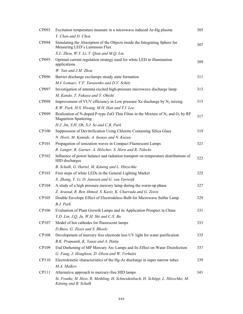| CP093        | Excitation temperature measure in a microwave induced Ar-Hg plasma                                                  | 305 |
|--------------|---------------------------------------------------------------------------------------------------------------------|-----|
|              | Y. Chen and D. Chen                                                                                                 |     |
| CP094        | Simulating the Absorption of the Objects inside the Integrating Sphere for<br>Measuring LED's Luminous Flux         | 307 |
|              | X.L. Zhou, W.Y. Li, Y. Qian and M.Q. Liu                                                                            |     |
| CP095        | Optimal current regulation strategy used for white LED in illumination<br>applications                              | 309 |
|              | W. Yan and J.M. Zhou                                                                                                |     |
| CP096        | Barrier discharge excilamps steady state formation                                                                  | 311 |
|              | M.I. Lomaev, V.F. Tarasenko and D.V. Schitz                                                                         |     |
| CP097        | Investigation of antenna excited high-pressure microwave discharge lamp                                             | 313 |
|              | M. Kando, T. Fukaya and Y. Ohishi                                                                                   |     |
| <b>CP098</b> | Improvement of VUV efficiency in Low pressure Xe discharge by $N_2$ mixing                                          | 315 |
|              | K.W. Park, H.S. Hwang, M.H. Han and T.I. Lee                                                                        |     |
| CP099        | Realization of N-doped P-type ZnO Thin Films in the Mixture of $N_2$ and $O_2$ by RF<br><b>Magnetron Sputtering</b> | 317 |
|              | H.J. Jin, S.H. Oh, S.J. So and C.B. Park                                                                            |     |
| <b>CP100</b> | Suppression of Devitrification Using Chlorine Containing Silica Glass                                               | 319 |
|              | N. Horii, M. Kamide, A. Inouye and N. Kuzuu                                                                         |     |
| CP101        | Propagation of ionization waves in Compact Fluorescent Lamps                                                        | 321 |
|              | R. Langer, R. Garner, A. Hilscher, S. Horn and R. Tidecks                                                           |     |
| CP102        | Influence of power balance and radiation transport on temperature distributions of<br>HID discharges                | 323 |
|              | B. Schalk, G. Hartel, M. Käning and L. Hitzschke                                                                    |     |
| CP103        | First steps of white LEDs in the General Lighting Market                                                            | 325 |
|              | X. Zhang, Y. Li, D. Janssen and G. van Tartwijk                                                                     |     |
| CP104        | A study of a high pressure mercury lamp during the warm-up phase                                                    | 327 |
|              | Z. Araoud, R. Ben Ahmed, S. Kaziz, K. Charrada and G. Zissis                                                        |     |
| CP105        | Double Envelope Effect of Electrodeless Bulb for Microwave Sulfur Lamp<br>B.J. Park                                 | 329 |
| CP106        | Evaluation of Plant Growth Lamps and its Application Prospect in China                                              | 331 |
|              | Y.D. Lin, J.Q. Ju, W.H. Shi and C.X. Bu                                                                             |     |
| CP107        | Model of hot cathodes for fluorescent lamps                                                                         | 333 |
|              | D.Buso, G. Zissis and S. Bhosle                                                                                     |     |
| <b>CP108</b> | Development of mercury free electrode less UV light for water purification                                          | 335 |
|              | B.K. Pramanik, K. Yanai and A. Hatta                                                                                |     |
| CP109        | End Darkening of MP Mercury Arc Lamps and Its Effect on Water Disinfection                                          | 337 |
|              | G. Fang, J. Houghton, D. Olson and W. Verhulst                                                                      |     |
| CP110        | Electrokinetic characteristics of the Hg-Ar discharge in super narrow tubes                                         | 339 |
|              | M.A. Malkov                                                                                                         |     |
| CP111        | Alternative approach to mercury-free HID lamps                                                                      | 341 |
|              | St. Franke, H. Hess, R. Methling, H. Schneidenbach, H. Schöpp, L. Hitzschke, M.<br>Käning and B. Schalk             |     |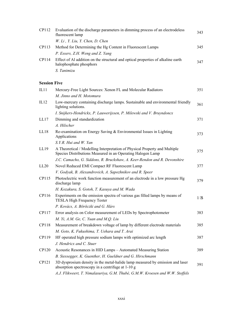| CP112               | Evaluation of the discharge parameters in dimming process of an electrodeless<br>fluorescent lamp                                         | 343  |
|---------------------|-------------------------------------------------------------------------------------------------------------------------------------------|------|
|                     | W. Li, Y. Liu, Y. Chen, D. Chen                                                                                                           |      |
| CP113               | Method for Determining the Hg Content in Fluorescent Lamps                                                                                | 345  |
|                     | P. Essers, Z.H. Weng and Z. Yang                                                                                                          |      |
| CP114               | Effect of Al addition on the structural and optical properties of alkaline earth<br>halophosphate phosphors                               | 347  |
|                     | S. Tanimizu                                                                                                                               |      |
|                     |                                                                                                                                           |      |
| <b>Session Five</b> |                                                                                                                                           |      |
| IL11                | Mercury-Free Light Sources: Xenon FL and Molecular Radiators                                                                              | 351  |
|                     | M. Jinno and H. Motomura                                                                                                                  |      |
| IL12                | Low-mercury containing discharge lamps. Sustainable and environmental friendly<br>lighting solutions.                                     | 361  |
|                     | I. Snijkers-Hendrickx, P. Lauwerijssen, P. Milewski and V. Bruyndoncx                                                                     |      |
| LL17                | Dimming and standardization                                                                                                               | 371  |
|                     | A. Hilscher                                                                                                                               |      |
| LL18                | Re-examination on Energy Saving & Environmental Issues in Lighting<br>Applications                                                        | 373  |
|                     | S.Y.R. Hui and W. Yan                                                                                                                     |      |
| LL19                | A Theoretical / Modelling Interpretation of Physical Property and Multiple<br>Species Distributions Measured in an Operating Halogen Lamp | 375  |
|                     | J.C. Camacho, G. Siddons, R. Bruckshaw, A. Keer-Rendon and R. Devonshire                                                                  |      |
| LL20                | Novel Reduced EMI Compact RF Fluorescent Lamp                                                                                             | 377  |
|                     | V. Godyak, B. Alexandrovich, A. Sapozhnikov and R. Speer                                                                                  |      |
| CP115               | Photoelectric work function measurement of an electrode in a low pressure Hg<br>discharge lamp                                            | 379  |
|                     | H. Kozakura, S. Gotoh, T. Kasuya and M. Wada                                                                                              |      |
| CP116               | Experiments on the emission spectra of various gas filled lamps by means of<br><b>TESLA High Frequency Tester</b>                         | P IC |
|                     | P. Kovács, A. Böröczki and G. Hárs                                                                                                        |      |
| CP117               | Error analysis on Color measurement of LEDs by Spectrophotometer                                                                          | 383  |
|                     | M. Yi, A.M. Ge, C. Yuan and M.Q. Liu                                                                                                      |      |
| CP118               | Measurement of breakdown voltage of lamp by different electrode materials                                                                 | 385  |
|                     | M. Goto, K. Fukushima, T. Uehara and T. Arai                                                                                              |      |
| CP119               | HF operated high pressure sodium lamps with optimized arc length                                                                          | 387  |
|                     | J. Hendricx and C. Stuer                                                                                                                  |      |
| CP120               | Acoustic Resonances in HID Lamps - Automated Measuring Station                                                                            | 389  |
|                     | B. Siessegger, K. Guenther, H. Gueldner and G. Hirschmann                                                                                 |      |
| CP121               | 3D dysprosium density in the metal-halide lamp measured by emission and laser<br>absorption spectroscopy in a centrifuge at 1-10 g        | 391  |
|                     | A.J. Flikweert, T. Nimalasuriya, G.M. Thubé, G.M.W. Kroesen and W.W. Stoffels                                                             |      |
|                     |                                                                                                                                           |      |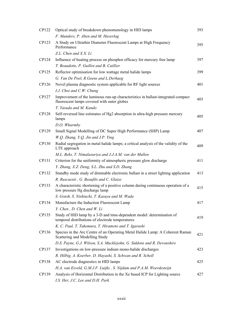| CP122 | Optical study of breakdown phenomenology in HID lamps                                                                           | 393 |
|-------|---------------------------------------------------------------------------------------------------------------------------------|-----|
|       | F. Manders, P. Aben and M. Haverlag                                                                                             |     |
| CP123 | A Study on Ultrathin Diameter Fluorescent Lamps at High Frequency<br>Performance                                                | 395 |
|       | Z.L. Chen and X.X. Li                                                                                                           |     |
| CP124 | Influence of heating process on phosphor efficacy for mercury free lamp                                                         | 397 |
|       | T. Beaudette, P. Guillot and B. Caillier                                                                                        |     |
| CP125 | Reflector optimisation for low wattage metal halide lamps                                                                       | 399 |
|       | G. Van De Poel, R. Geens and L. Derhaeg                                                                                         |     |
| CP126 | Novel plasma diagnostic system applicable for RF light sources                                                                  | 401 |
|       | I.J. Choi and C.W. Chung                                                                                                        |     |
| CP127 | Improvement of the luminous run-up characteristics in ballast-integrated compact<br>fluorescent lamps covered with outer globes | 403 |
|       | T. Yasuda and M. Kando                                                                                                          |     |
| CP128 | Self-reversed line estimates of Hg2 absorption in ultra-high pressure mercury<br>lamps                                          | 405 |
|       | D.O. Wharmby                                                                                                                    |     |
| CP129 | Small Signal Modelling of DC Super High Performance (SHP) Lamp                                                                  | 407 |
|       | W.O. Zhang, Y.O. Jin and J.P. Ying                                                                                              |     |
| CP130 | Radial segregation in metal halide lamps; a critical analysis of the validity of the<br>LTE approach                            | 409 |
|       | M.L. Beks, T. Nimalasuriya and J.J.A.M. van der Mullen                                                                          |     |
| CP131 | Criterion for the uniformity of atmospheric pressure glow discharge                                                             | 411 |
|       | Y. Zhang, X.Z. Deng, S.L. Zhu and S.D. Zhang                                                                                    |     |
| CP132 | Standby mode study of dimmable electronic ballast in a street lighting application                                              | 413 |
|       | R. Ruscassié, G. Beaufils and C. Glaize                                                                                         |     |
| CP133 | A characteristic shortening of a positive column during continuous operation of a<br>low pressure Hg discharge lamp             | 415 |
|       | S. Gotoh, S. Nishiuchi, T. Kasuya and M. Wada                                                                                   |     |
| CP134 | Manufacture the Induction Fluorescent Lamp                                                                                      | 417 |
|       | Y. Chen, D. Chen and W. Li                                                                                                      |     |
| CP135 | Study of HID lamp by a 3-D and time-dependent model: determination of<br>temporal distributions of electrode temperatures       | 419 |
|       | K. C. Paul, T. Takemura, T. Hiramoto and T. Igarashi                                                                            |     |
| CP136 | Species in the Arc Centre of an Operating Metal Halide Lamp: A Coherent Raman<br>Scattering and Modelling Study                 | 421 |
|       | D.S. Payne, G.J. Wilson, S.A. Mucklejohn, G. Siddons and R. Devonshire                                                          |     |
| CP137 | Investigations on low-pressure indium mono-halide discharges                                                                    | 423 |
|       | R. Hilbig, A. Koerber, D. Hayashi, S. Schwan and R. Scholl                                                                      |     |
| CP138 | AC electrode diagnostics in HID lamps                                                                                           | 425 |
|       | H.A. van Esveld, G.M.J.F. Luijks, S. Nijdam and P.A.M. Weerdesteijn                                                             |     |
| CP139 | Analysis of Horizontal Distribution in the Xe based ICP for Lighting source                                                     | 427 |
|       | I.S. Her, J.C. Lee and D.H. Park                                                                                                |     |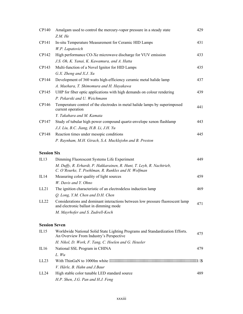| CP140                | Amalgam used to control the mercury-vapor pressure in a steady state<br>Z.M. He                                              | 429 |
|----------------------|------------------------------------------------------------------------------------------------------------------------------|-----|
| CP141                | In-situ Temperature Measurement for Ceramic HID Lamps                                                                        | 431 |
|                      | W.P. Lapatovich                                                                                                              |     |
| CP142                | High performance CO-Xe microwave discharge for VUV emission                                                                  | 433 |
|                      | J.S. Oh, K. Yanai, K. Kawamura, and A. Hatta                                                                                 |     |
| CP143                | Multi-function of a Novel Ignitor for HID Lamps                                                                              | 435 |
|                      | G.X. Zheng and X.J. Xu                                                                                                       |     |
| CP144                | Development of 360 watts high-efficiency ceramic metal halide lamp                                                           | 437 |
|                      | A. Maehara, T. Shimomura and H. Hayakawa                                                                                     |     |
| CP145                | UHP for fiber optic applications with high demands on colour rendering                                                       | 439 |
|                      | P. Pekarski and U. Weichmann                                                                                                 |     |
| CP146                | Temperature control of the electrodes in metal halide lamps by superimposed<br>current operation                             | 441 |
|                      | Y. Takahara and M. Kamata                                                                                                    |     |
| CP147                | Study of tubular high power compound quartz-envelope xenon flashlamp                                                         | 443 |
|                      | J.J. Liu, B.C. Jiang, H.B. Li, J.H. Yu                                                                                       |     |
| CP148                | Reaction times under mesopic conditions                                                                                      | 445 |
|                      | P. Raynham, M.H. Girach, S.A. Mucklejohn and B. Preston                                                                      |     |
| <b>Session Six</b>   |                                                                                                                              |     |
| IL13                 | Dimming Fluorescent Systems Life Experiment                                                                                  | 449 |
|                      | M. Duffy, R. Erhardt, P. Hakkarainen, R. Hunt, T. Leyh, R. Nachtrieb,<br>C. O'Rourke, T. Poehlman, R. Runkles and H. Wolfman |     |
| IL14                 | Measuring color quality of light sources                                                                                     | 459 |
|                      | W. Davis and Y. Ohno                                                                                                         |     |
| LL21                 | The ignition characteristic of an electrodeless induction lamp                                                               | 469 |
|                      | Q. Long, Y.M. Chen and D.H. Chen                                                                                             |     |
| LL22                 | Considerations and dominant interactions between low pressure fluorescent lamp<br>and electronic ballast in dimming mode     | 471 |
|                      | M. Mayrhofer and S. Zudrell-Koch                                                                                             |     |
| <b>Session Seven</b> |                                                                                                                              |     |
| IL15                 | Worldwide National Solid State Lighting Programs and Standardization Efforts.<br>An Overview From Industry's Perspective     | 475 |
|                      | H. Nikol, D. Work, F. Tang, C. Hoelen and G. Heusler                                                                         |     |
| IL16                 | National SSL Program in CHINA                                                                                                | 479 |
|                      | L. Wu                                                                                                                        |     |
| LL <sub>23</sub>     |                                                                                                                              |     |
|                      | V. Härle, B. Hahn and J.Baur                                                                                                 |     |
| LL24                 | High stable color tunable LED standard source                                                                                | 489 |
|                      | H.P. Shen, J.G. Pan and H.J. Feng                                                                                            |     |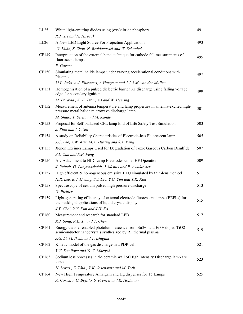| LL25  | White light-emitting diodes using (oxy)nitride phosphors                                                                                | 491 |
|-------|-----------------------------------------------------------------------------------------------------------------------------------------|-----|
|       | R.J. Xie and N. Hirosaki                                                                                                                |     |
| LL26  | A New LED Light Source For Projection Applications                                                                                      | 493 |
|       | G. Kuhn, S. Zhou, N. Breidenassel and W. Schnabel                                                                                       |     |
| CP149 | Interpretation of the external band technique for cathode fall measurements of<br>fluorescent lamps                                     | 495 |
|       | R. Garner                                                                                                                               |     |
| CP150 | Simulating metal halide lamps under varying accelerational conditions with<br>Plasimo                                                   | 497 |
|       | M.L. Beks, A.J. Flikweert, A.Hartgers and J.J.A.M. van der Mullen                                                                       |     |
| CP151 | Homogenisation of a pulsed dielectric barrier Xe discharge using falling voltage<br>edge for secondary ignition                         | 499 |
|       | M. Paravia, K. E. Trampert and W. Heering                                                                                               |     |
| CP152 | Measurement of antenna temperature and lamp properties in antenna-excited high-<br>pressure metal halide microwave discharge lamp       | 501 |
|       | M. Shido, T. Serita and M. Kando                                                                                                        |     |
| CP153 | Proposal for Self-ballasted CFL lamp End of Life Safety Test Simulation                                                                 | 503 |
|       | J. Bian and L.Y. Shi                                                                                                                    |     |
| CP154 | A study on Reliability Characteristics of Electrode-less Fluorescent lamp                                                               | 505 |
|       | J.C. Lee, Y.W. Kim, M.K. Hwang and S.Y. Yang                                                                                            |     |
| CP155 | Xenon Excimer Lamps Used for Degradation of Toxic Gaseous Carbon Disulfide                                                              | 507 |
|       | S.L. Zhu and X.F. Feng                                                                                                                  |     |
| CP156 | Arc Attachment to HID Lamp Electrodes under HF Operation                                                                                | 509 |
|       | J. Reinelt, O. Langenscheidt, J. Mentel and P. Awakowicz                                                                                |     |
| CP157 | High efficient $&$ homogeneous emissive BLU simulated by thin-lens method                                                               | 511 |
|       | H.R. Lee, K.J. Hwang, S.J. Lee, Y.C. Yim and Y.K. Kim                                                                                   |     |
| CP158 | Spectroscopy of cesium pulsed high pressure discharge                                                                                   | 513 |
|       | G. Pichler                                                                                                                              |     |
| CP159 | Light-generating efficiency of external electrode fluorescent lamps (EEFLs) for<br>the backlight applications of liquid crystal display | 515 |
|       | J.Y. Choi, Y.Y. Kim and J.H. Ko                                                                                                         |     |
| CP160 | Measurement and research for standard LED                                                                                               | 517 |
|       | X.J. Song, R.L. Xu and Y. Chen                                                                                                          |     |
| CP161 | Energy transfer enabled photoluminescence from Eu3+- and Er3+-doped TiO2<br>semiconductor nanocrystals synthesized by RF thermal plasma | 519 |
|       | J.G. Li, M. Ikeda and T. Ishigaki                                                                                                       |     |
| CP162 | Kinetic model of the gas discharge in a PDP-cell                                                                                        | 521 |
|       | V.V. Danilova and Ye.V. Martysh                                                                                                         |     |
| CP163 | Sodium loss processes in the ceramic wall of High Intensity Discharge lamp arc<br>tubes                                                 | 523 |
|       | H. Lovas, Z. Tóth, V.K. Josepovits and M. Tóth                                                                                          |     |
| CP164 | New High Temperature Amalgam and Hg dispenser for T5 Lamps                                                                              | 525 |
|       | A. Corazza, C. Boffito, S. Frenzel and R. Hoffmann                                                                                      |     |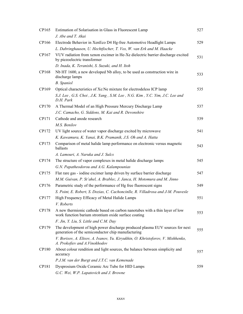| CP165        | Estimation of Solarisation in Glass in Fluorescent Lamp                                                                             | 527 |
|--------------|-------------------------------------------------------------------------------------------------------------------------------------|-----|
|              | J. Abe and T. Akai                                                                                                                  |     |
| CP166        | Electrode Behavior in XenEco D4 Hg-free Automotive Headlight Lamps                                                                  | 529 |
|              | L. Dabringhausen, U. Hechtfischer, T. Vos, W. van Erk and M. Haacke                                                                 |     |
| CP167        | VUV radiation from xenon excimer in He-Xe dielectric barrier discharge excited<br>by piezoelectric transformer                      | 531 |
|              | D. Inada, K. Teranishi, S. Suzuki, and H. Itoh                                                                                      |     |
| CP168        | Nb HT 1600, a new developed Nb alloy, to be used as construction wire in<br>discharge lamps                                         | 533 |
|              | <b>B.</b> Spaniol                                                                                                                   |     |
| CP169        | Optical characteristics of Xe: Ne mixture for electrodeless ICP lamp                                                                | 535 |
|              | S.J. Lee, G.S. Choi, J.K. Yang, S.M. Lee, N.G. Kim, Y.C. Yim, J.C. Lee and<br>D.H. Park                                             |     |
| CP170        | A Thermal Model of an High Pressure Mercury Discharge Lamp                                                                          | 537 |
|              | J.C. Camacho, G. Siddons, M. Kai and R. Devonshire                                                                                  |     |
| CP171        | Cathode and anode research                                                                                                          | 539 |
|              | M.S. Benilov                                                                                                                        |     |
| CP172        | UV light source of water vapor discharge excited by microwave                                                                       | 541 |
|              | K. Kawamura, K. Yanai, B.K. Pramanik, J.S. Oh and A. Hatta                                                                          |     |
| CP173        | Comparison of metal halide lamp performance on electronic versus magnetic<br>ballasts                                               | 543 |
|              | A. Lamouri, A. Naruka and J. Sulcs                                                                                                  |     |
| CP174        | The structure of vapor complexes in metal halide discharge lamps                                                                    | 545 |
|              | G.N. Papatheodorou and A.G. Kalampounias                                                                                            |     |
| CP175        | Flat rare gas - iodine excimer lamp driven by surface barrier discharge                                                             | 547 |
|              | M.M. Guivan, P. St'ahel, A. Brablec, J. Janca, H. Motomura and M. Jinno                                                             |     |
| CP176        | Parametric study of the performance of Hg free fluorescent signs                                                                    | 549 |
|              | S. Point, E. Robert, S. Dozias, C. Cachoncinlle, R. Villadrosa and J-M. Pouvesle                                                    |     |
| CP177        | High Frequency Efficacy of Metal Halide Lamps                                                                                       | 551 |
|              | V. Roberts                                                                                                                          |     |
| CP178        | A new thermionic cathode based on carbon nanotubes with a thin layer of low<br>work function barium strontium oxide surface coating | 553 |
|              | F. Jin, Y. Liu, S. Little and C.M. Day                                                                                              |     |
| CP179        | The development of high power discharge produced plasma EUV sources for next<br>generation of the semiconductor chip manufacturing  | 555 |
|              | V. Borisov, A. Eltsov, A. Ivanov, Yu. Kiryukhin, O. Khristoforov, V. Mishhenko,<br>A. Prokofiev and A. Vinokhodov                   |     |
| <b>CP180</b> | About colour rendition and light sources, the balance between simplicity and<br>accuracy                                            | 557 |
|              | P.J.M. van der Burgt and J.T.C. van Kemenade                                                                                        |     |
| CP181        | Dysprosium Oxide Ceramic Arc Tube for HID Lamps                                                                                     | 559 |
|              | G.C. Wei, W.P. Lapatovich and J. Browne                                                                                             |     |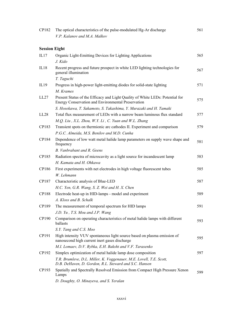| CP182                | The optical characteristics of the pulse-modulated Hg-Ar discharge                                                                         | 561 |
|----------------------|--------------------------------------------------------------------------------------------------------------------------------------------|-----|
|                      | V.P. Kalanov and M.A. Malkov                                                                                                               |     |
| <b>Session Eight</b> |                                                                                                                                            |     |
| IL17                 | Organic Light-Emitting Devices for Lighting Applications                                                                                   | 565 |
|                      | J. Kido                                                                                                                                    |     |
| IL18                 | Recent progress and future prospect in white LED lighting technologies for<br>general illumination                                         | 567 |
|                      | T. Taguchi                                                                                                                                 |     |
| IL19                 | Progress in high-power light-emitting diodes for solid-state lighting                                                                      | 571 |
|                      | M. Krames                                                                                                                                  |     |
| LL27                 | Present Status of the Efficacy and Light Quality of White LEDs: Potential for<br><b>Energy Conservation and Environmental Preservation</b> | 575 |
|                      | S. Hosokawa, T. Sakamoto, S. Takashima, Y. Murazaki and H. Tamaki                                                                          |     |
| LL28                 | Total flux measurement of LEDs with a narrow beam luminous flux standard                                                                   | 577 |
|                      | M.Q. Liu, X.L. Zhou, W.Y. Li, C. Yuan and W.L. Zhang                                                                                       |     |
| CP183                | Transient spots on thermionic arc cathodes II. Experiment and comparison                                                                   | 579 |
|                      | P.G.C. Almeida, M.S. Benilov and M.D. Cunha                                                                                                |     |
| CP184                | Dependence of low watt metal halide lamp parameters on supply wave shape and<br>frequency                                                  | 581 |
|                      | B. Vanbrabant and R. Geens                                                                                                                 |     |
| CP185                | Radiation spectra of microcavity as a light source for incandescent lamp                                                                   | 583 |
|                      | H. Kamata and H. Ohkawa                                                                                                                    |     |
| CP186                | First experiments with net electrodes in high voltage fluorescent tubes                                                                    | 585 |
|                      | W. Lehmann                                                                                                                                 |     |
| CP187                | Characteristic analysis of Blue-LED                                                                                                        | 587 |
|                      | H.C. Yen, G.R. Wang, S. Z. Wei and H. X. Chen                                                                                              |     |
| <b>CP188</b>         | Electrode heat-up in HID-lamps - model and experiment                                                                                      | 589 |
|                      | A. Kloss and B. Schalk                                                                                                                     |     |
| CP189                | The measurement of temporal spectrum for HID lamps                                                                                         | 591 |
|                      | J.D. Yu, T.S. Mou and J.P. Wang                                                                                                            |     |
| CP190                | Comparison on operating characteristics of metal halide lamps with different<br>ballasts                                                   | 593 |
|                      | S.Y. Tang and C.S. Moo                                                                                                                     |     |
| CP191                | High intensity VUV spontaneous light source based on plasma emission of<br>nanosecond high current inert gases discharge                   | 595 |
|                      | M.I. Lomaev, D.V. Rybka, E.H. Baksht and V.F. Tarasenko                                                                                    |     |
| CP192                | Simplex optimization of metal halide lamp dose composition                                                                                 | 597 |
|                      | T.R. Brumleve, D.L. Miller, K. Voggenauer, M.E. Lovell, T.E. Scott,<br>D.B. DeHaven, D. Gordon, R.L. Steward and S.C. Hansen               |     |
| CP193                | Spatially and Spectrally Resolved Emission from Compact High Pressure Xenon<br>Lamps                                                       | 599 |
|                      | D. Doughty, O. Minayeva, and S. Yeralan                                                                                                    |     |